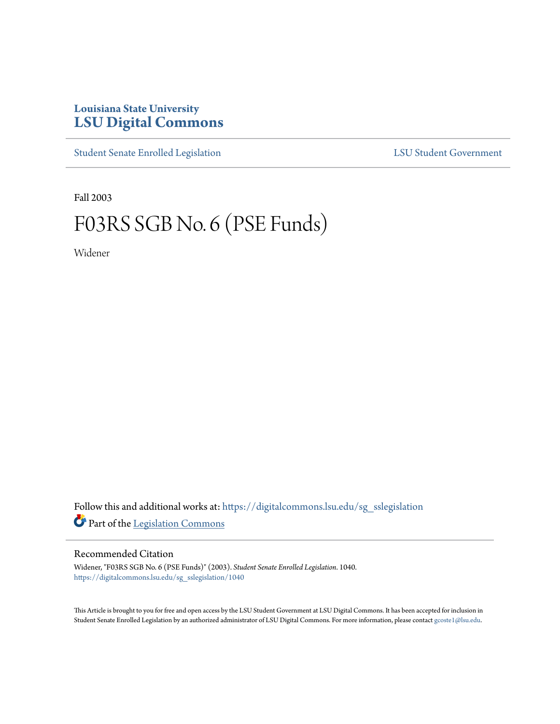## **Louisiana State University [LSU Digital Commons](https://digitalcommons.lsu.edu?utm_source=digitalcommons.lsu.edu%2Fsg_sslegislation%2F1040&utm_medium=PDF&utm_campaign=PDFCoverPages)**

[Student Senate Enrolled Legislation](https://digitalcommons.lsu.edu/sg_sslegislation?utm_source=digitalcommons.lsu.edu%2Fsg_sslegislation%2F1040&utm_medium=PDF&utm_campaign=PDFCoverPages) [LSU Student Government](https://digitalcommons.lsu.edu/sg?utm_source=digitalcommons.lsu.edu%2Fsg_sslegislation%2F1040&utm_medium=PDF&utm_campaign=PDFCoverPages)

Fall 2003

# F03RS SGB No. 6 (PSE Funds)

Widener

Follow this and additional works at: [https://digitalcommons.lsu.edu/sg\\_sslegislation](https://digitalcommons.lsu.edu/sg_sslegislation?utm_source=digitalcommons.lsu.edu%2Fsg_sslegislation%2F1040&utm_medium=PDF&utm_campaign=PDFCoverPages) Part of the [Legislation Commons](http://network.bepress.com/hgg/discipline/859?utm_source=digitalcommons.lsu.edu%2Fsg_sslegislation%2F1040&utm_medium=PDF&utm_campaign=PDFCoverPages)

### Recommended Citation

Widener, "F03RS SGB No. 6 (PSE Funds)" (2003). *Student Senate Enrolled Legislation*. 1040. [https://digitalcommons.lsu.edu/sg\\_sslegislation/1040](https://digitalcommons.lsu.edu/sg_sslegislation/1040?utm_source=digitalcommons.lsu.edu%2Fsg_sslegislation%2F1040&utm_medium=PDF&utm_campaign=PDFCoverPages)

This Article is brought to you for free and open access by the LSU Student Government at LSU Digital Commons. It has been accepted for inclusion in Student Senate Enrolled Legislation by an authorized administrator of LSU Digital Commons. For more information, please contact [gcoste1@lsu.edu.](mailto:gcoste1@lsu.edu)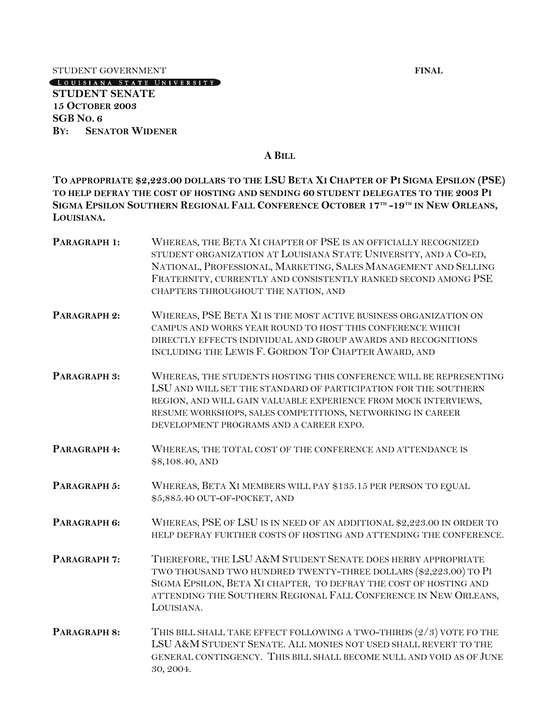STUDENT GOVERNMENT<br>
CLOUISIANA STATE UNIVERSITY

**STUDENT SENATE 15 OCTOBER 2003 SGB NO. 6 BY: SENATOR WIDENER**

#### **A BILL**

**TO APPROPRIATE \$2,223.00 DOLLARS TO THE LSU BETA XI CHAPTER OF PI SIGMA EPSILON (PSE) TO HELP DEFRAY THE COST OF HOSTING AND SENDING 60 STUDENT DELEGATES TO THE 2003 PI**  SIGMA EPSILON SOUTHERN REGIONAL FALL CONFERENCE OCTOBER 17TH -19TH IN NEW ORLEANS, **LOUISIANA.**

| PARAGRAPH 1: | WHEREAS, THE BETA XI CHAPTER OF PSE IS AN OFFICIALLY RECOGNIZED<br>STUDENT ORGANIZATION AT LOUISIANA STATE UNIVERSITY, AND A CO-ED,<br>NATIONAL, PROFESSIONAL, MARKETING, SALES MANAGEMENT AND SELLING<br>FRATERNITY, CURRENTLY AND CONSISTENTLY RANKED SECOND AMONG PSE<br>CHAPTERS THROUGHOUT THE NATION, AND   |
|--------------|-------------------------------------------------------------------------------------------------------------------------------------------------------------------------------------------------------------------------------------------------------------------------------------------------------------------|
| PARAGRAPH 2: | WHEREAS, PSE BETA XI IS THE MOST ACTIVE BUSINESS ORGANIZATION ON<br>CAMPUS AND WORKS YEAR ROUND TO HOST THIS CONFERENCE WHICH<br>DIRECTLY EFFECTS INDIVIDUAL AND GROUP AWARDS AND RECOGNITIONS<br>INCLUDING THE LEWIS F. GORDON TOP CHAPTER AWARD, AND                                                            |
| PARAGRAPH 3: | WHEREAS, THE STUDENTS HOSTING THIS CONFERENCE WILL BE REPRESENTING<br>LSU AND WILL SET THE STANDARD OF PARTICIPATION FOR THE SOUTHERN<br>REGION, AND WILL GAIN VALUABLE EXPERIENCE FROM MOCK INTERVIEWS,<br>RESUME WORKSHOPS, SALES COMPETITIONS, NETWORKING IN CAREER<br>DEVELOPMENT PROGRAMS AND A CAREER EXPO. |
| PARAGRAPH 4: | WHEREAS, THE TOTAL COST OF THE CONFERENCE AND ATTENDANCE IS<br>\$8,108.40, AND                                                                                                                                                                                                                                    |
| PARAGRAPH 5: | WHEREAS, BETA XI MEMBERS WILL PAY \$135.15 PER PERSON TO EQUAL<br>\$5,885.40 OUT-OF-POCKET, AND                                                                                                                                                                                                                   |
| PARAGRAPH 6: | WHEREAS, PSE OF LSU IS IN NEED OF AN ADDITIONAL \$2,223.00 IN ORDER TO<br>HELP DEFRAY FURTHER COSTS OF HOSTING AND ATTENDING THE CONFERENCE.                                                                                                                                                                      |
| PARAGRAPH 7: | THEREFORE, THE LSU A&M STUDENT SENATE DOES HERBY APPROPRIATE<br>TWO THOUSAND TWO HUNDRED TWENTY-THREE DOLLARS (\$2,223.00) TO PI<br>SIGMA EPSILON, BETA XI CHAPTER, TO DEFRAY THE COST OF HOSTING AND<br>ATTENDING THE SOUTHERN REGIONAL FALL CONFERENCE IN NEW ORLEANS,<br>LOUISIANA.                            |
| PARAGRAPH 8: | THIS BILL SHALL TAKE EFFECT FOLLOWING A TWO-THIRDS (2/3) VOTE FO THE<br>LSU A&M STUDENT SENATE. ALL MONIES NOT USED SHALL REVERT TO THE<br>GENERAL CONTINGENCY. THIS BILL SHALL BECOME NULL AND VOID AS OF JUNE<br>30, 2004.                                                                                      |